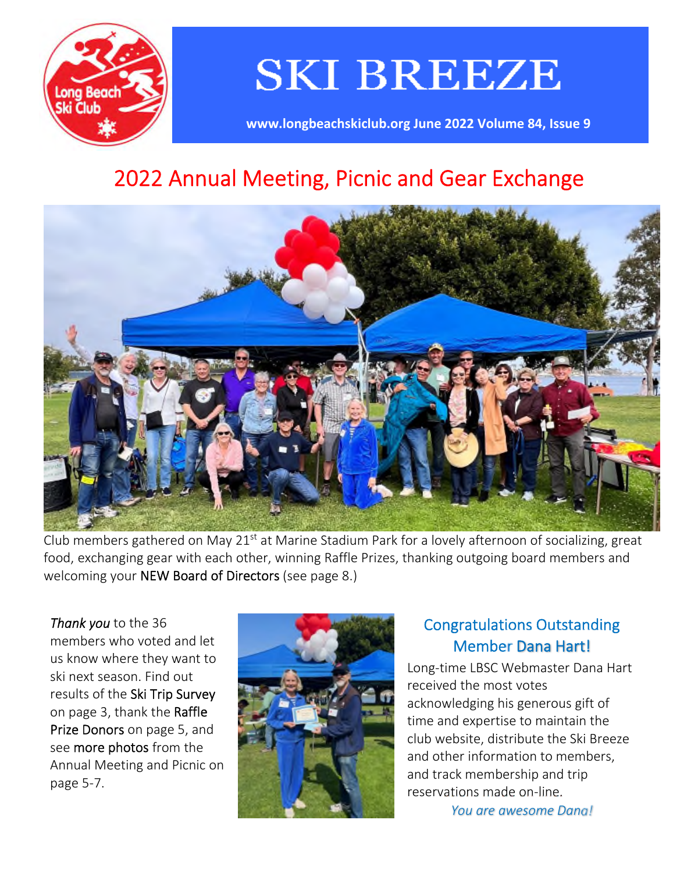

**SKI BREEZE** 

**www.longbeachskiclub.org June 2022 Volume 84, Issue 9**

# 2022 Annual Meeting, Picnic and Gear Exchange



Club members gathered on May  $21^{st}$  at Marine Stadium Park for a lovely afternoon of socializing, great food, exchanging gear with each other, winning Raffle Prizes, thanking outgoing board members and welcoming your NEW Board of Directors (see page 8.)

*Thank you* to the 36 members who voted and let us know where they want to ski next season. Find out results of the Ski Trip Survey on page 3, thank the Raffle Prize Donors on page 5, and see more photos from the Annual Meeting and Picnic on page 5-7.



### Congratulations Outstanding Member Dana Hart!

Long-time LBSC Webmaster Dana Hart received the most votes acknowledging his generous gift of time and expertise to maintain the club website, distribute the Ski Breeze and other information to members, and track membership and trip reservations made on-line.

*You are awesome Dana!*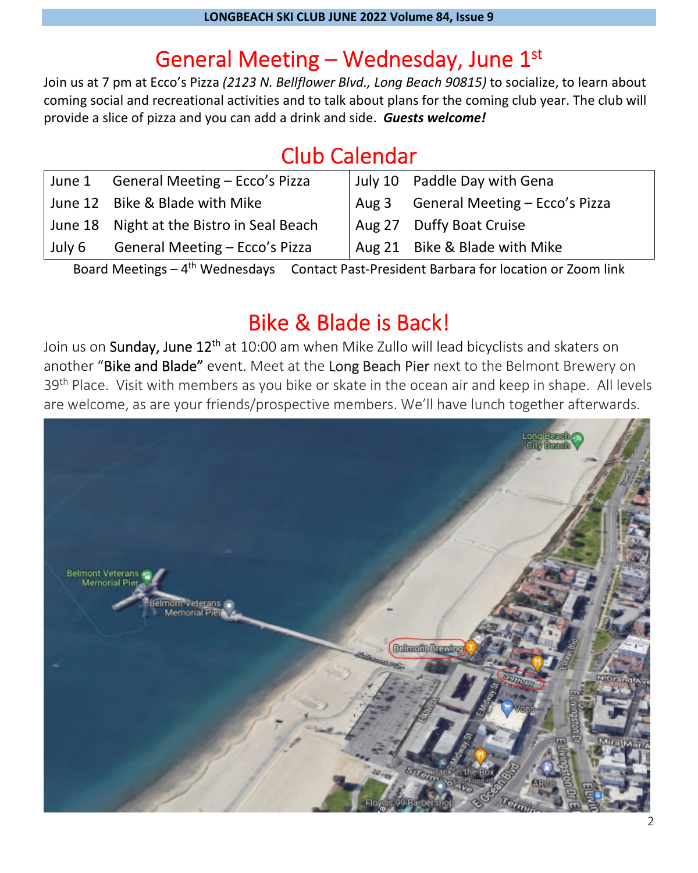# General Meeting – Wednesday, June 1st

Join us at 7 pm at Ecco's Pizza *(2123 N. Bellflower Blvd., Long Beach 90815)* to socialize, to learn about coming social and recreational activities and to talk about plans for the coming club year. The club will provide a slice of pizza and you can add a drink and side. *Guests welcome!*

## Club Calendar

|        | June 1 General Meeting – Ecco's Pizza     | July 10 Paddle Day with Gena         |
|--------|-------------------------------------------|--------------------------------------|
|        | June 12 Bike & Blade with Mike            | Aug 3 General Meeting - Ecco's Pizza |
|        | June 18 Night at the Bistro in Seal Beach | Aug 27 Duffy Boat Cruise             |
| July 6 | General Meeting - Ecco's Pizza            | Aug 21 Bike & Blade with Mike        |

Board Meetings – 4<sup>th</sup> Wednesdays Contact Past-President Barbara for location or Zoom link

# Bike & Blade is Back!

Join us on Sunday, June 12<sup>th</sup> at 10:00 am when Mike Zullo will lead bicyclists and skaters on another "Bike and Blade" event. Meet at the Long Beach Pier next to the Belmont Brewery on 39<sup>th</sup> Place. Visit with members as you bike or skate in the ocean air and keep in shape. All levels are welcome, as are your friends/prospective members. We'll have lunch together afterwards.

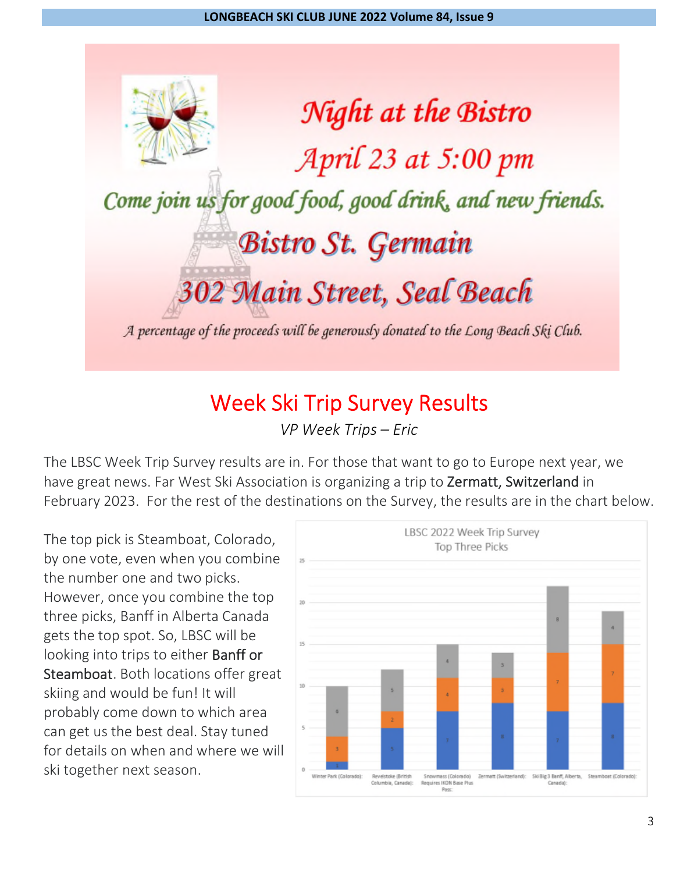

# Week Ski Trip Survey Results

*VP Week Trips – Eric*

The LBSC Week Trip Survey results are in. For those that want to go to Europe next year, we have great news. Far West Ski Association is organizing a trip to **Zermatt, Switzerland** in February 2023. For the rest of the destinations on the Survey, the results are in the chart below.

The top pick is Steamboat, Colorado, by one vote, even when you combine the number one and two picks. However, once you combine the top three picks, Banff in Alberta Canada gets the top spot. So, LBSC will be looking into trips to either **Banff or** Steamboat. Both locations offer great skiing and would be fun! It will probably come down to which area can get us the best deal. Stay tuned for details on when and where we will ski together next season.

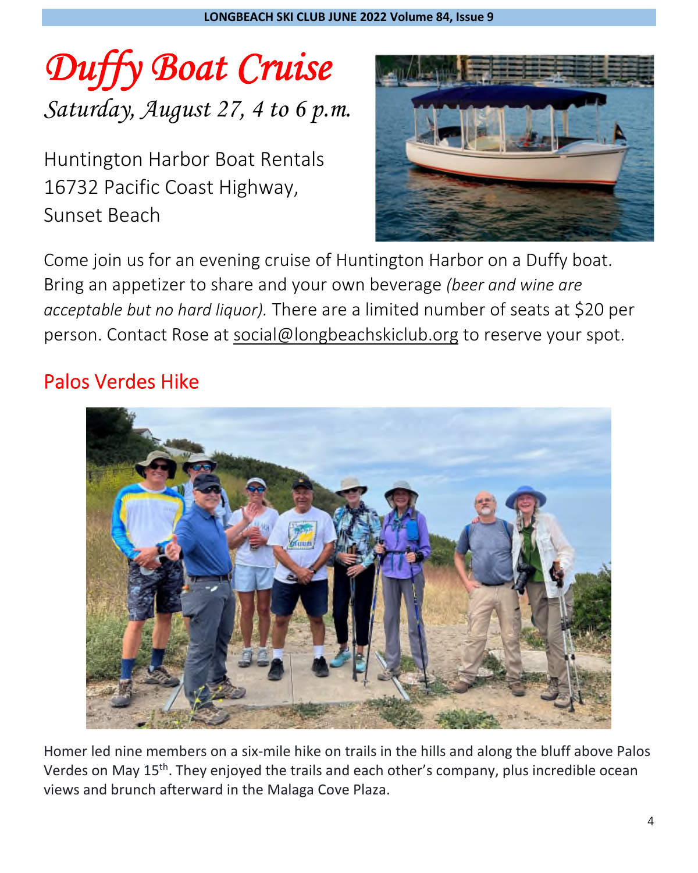# *Duffy Boat Cruise Saturday, August 27, 4 to 6 p.m.*

Huntington Harbor Boat Rentals 16732 Pacific Coast Highway, Sunset Beach



Come join us for an evening cruise of Huntington Harbor on a Duffy boat. Bring an appetizer to share and your own beverage *(beer and wine are acceptable but no hard liquor).* There are a limited number of seats at \$20 per person. Contact Rose at social@longbeachskiclub.org to reserve your spot.

### Palos Verdes Hike



Homer led nine members on a six-mile hike on trails in the hills and along the bluff above Palos Verdes on May 15<sup>th</sup>. They enjoyed the trails and each other's company, plus incredible ocean views and brunch afterward in the Malaga Cove Plaza.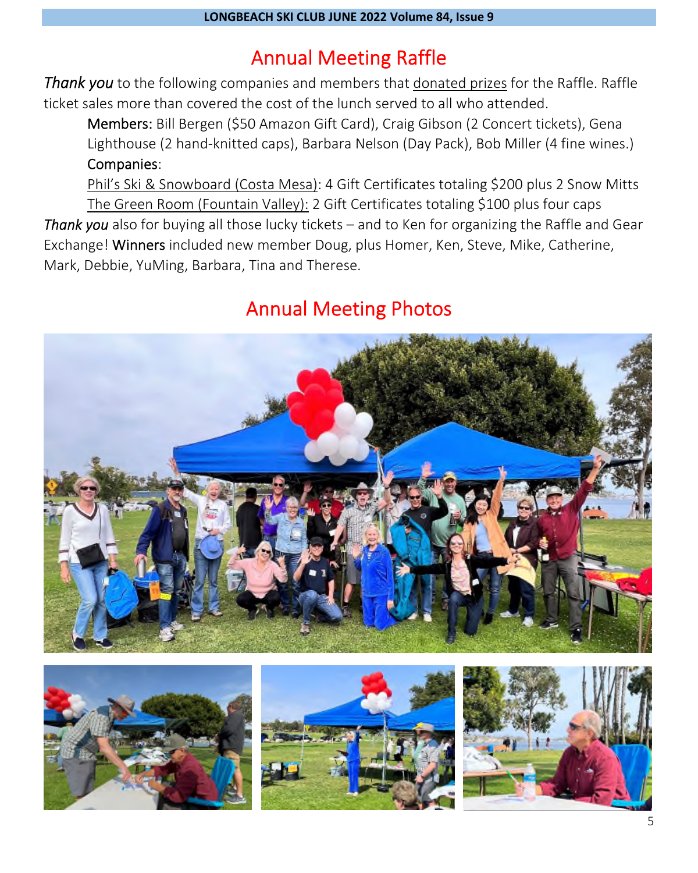### Annual Meeting Raffle

Thank you to the following companies and members that donated prizes for the Raffle. Raffle ticket sales more than covered the cost of the lunch served to all who attended.

Members: Bill Bergen (\$50 Amazon Gift Card), Craig Gibson (2 Concert tickets), Gena Lighthouse (2 hand-knitted caps), Barbara Nelson (Day Pack), Bob Miller (4 fine wines.) Companies:

Phil's Ski & Snowboard (Costa Mesa): 4 Gift Certificates totaling \$200 plus 2 Snow Mitts The Green Room (Fountain Valley): 2 Gift Certificates totaling \$100 plus four caps *Thank you* also for buying all those lucky tickets – and to Ken for organizing the Raffle and Gear Exchange! Winners included new member Doug, plus Homer, Ken, Steve, Mike, Catherine, Mark, Debbie, YuMing, Barbara, Tina and Therese.

### Annual Meeting Photos



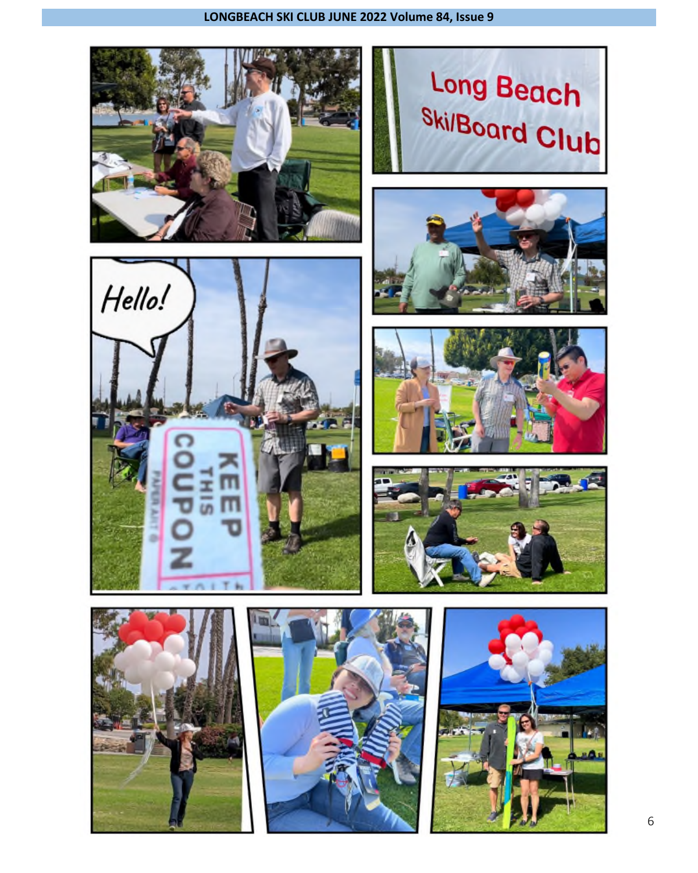















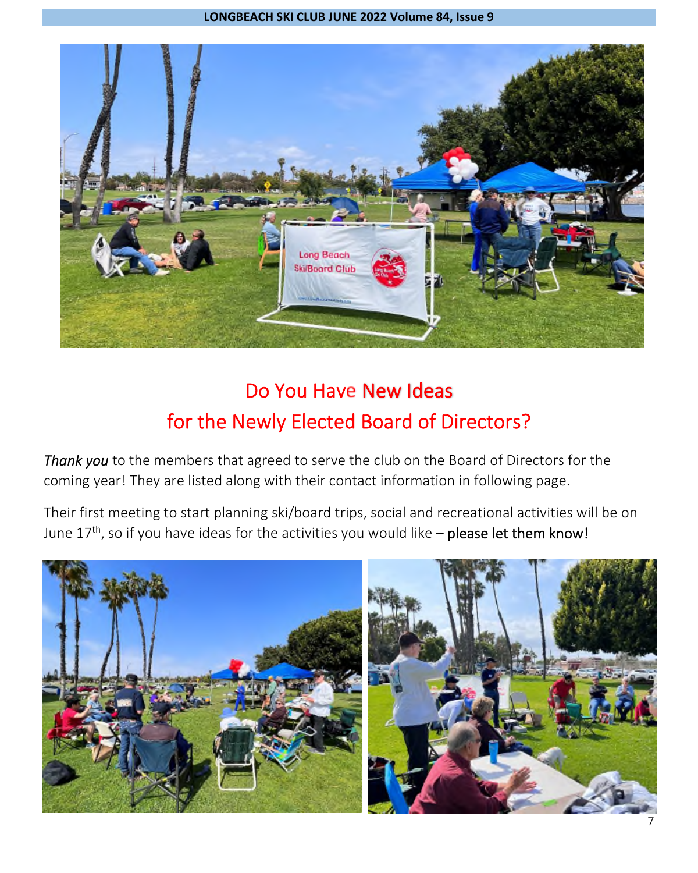**LONGBEACH SKI CLUB JUNE 2022 Volume 84, Issue 9**



# Do You Have New Ideas for the Newly Elected Board of Directors?

*Thank you* to the members that agreed to serve the club on the Board of Directors for the coming year! They are listed along with their contact information in following page.

Their first meeting to start planning ski/board trips, social and recreational activities will be on June  $17<sup>th</sup>$ , so if you have ideas for the activities you would like – please let them know!

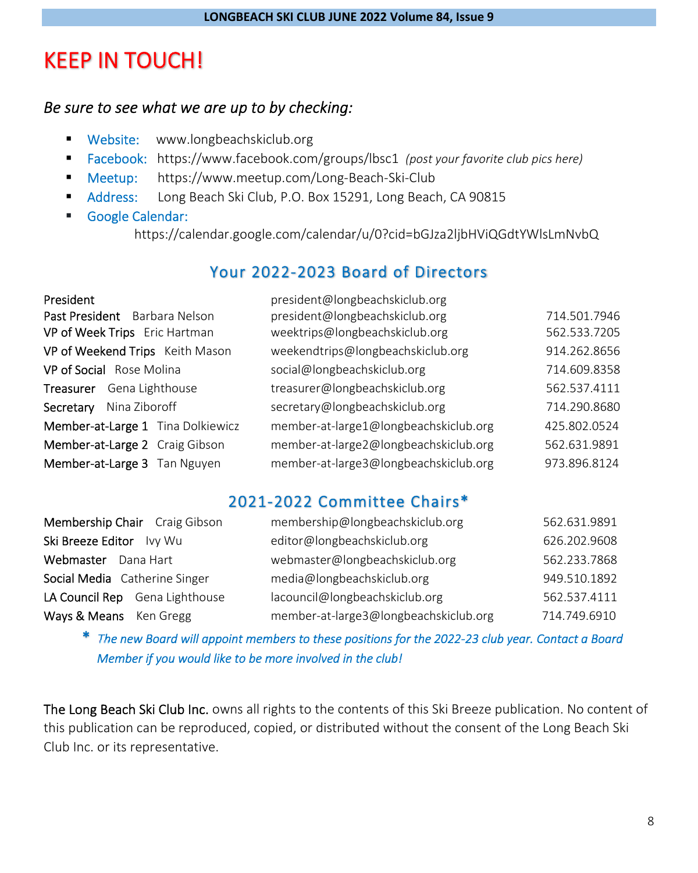# KEEP IN TOUCH!

#### *Be sure to see what we are up to by checking:*

- **Website:** www.longbeachskiclub.org
- Facebook: https://www.facebook.com/groups/lbsc1 *(post your favorite club pics here)*
- **Meetup:** https://www.meetup.com/Long-Beach-Ski-Club
- Address: Long Beach Ski Club, P.O. Box 15291, Long Beach, CA 90815
- Google Calendar: https://calendar.google.com/calendar/u/0?cid=bGJza2ljbHViQGdtYWlsLmNvbQ

### Your 2022-2023 Board of Directors

| President                         | president@longbeachskiclub.org        |              |
|-----------------------------------|---------------------------------------|--------------|
| Past President Barbara Nelson     | president@longbeachskiclub.org        | 714.501.7946 |
| VP of Week Trips Eric Hartman     | weektrips@longbeachskiclub.org        | 562.533.7205 |
| VP of Weekend Trips Keith Mason   | weekendtrips@longbeachskiclub.org     | 914.262.8656 |
| VP of Social Rose Molina          | social@longbeachskiclub.org           | 714.609.8358 |
| Treasurer Gena Lighthouse         | treasurer@longbeachskiclub.org        | 562.537.4111 |
| Nina Ziboroff<br>Secretary        | secretary@longbeachskiclub.org        | 714.290.8680 |
| Member-at-Large 1 Tina Dolkiewicz | member-at-large1@longbeachskiclub.org | 425.802.0524 |
| Member-at-Large 2 Craig Gibson    | member-at-large2@longbeachskiclub.org | 562.631.9891 |
| Member-at-Large 3 Tan Nguyen      | member-at-large3@longbeachskiclub.org | 973.896.8124 |

### 2021-2022 Committee Chairs\*

| Membership Chair Craig Gibson  | membership@longbeachskiclub.org       | 562.631.9891 |
|--------------------------------|---------------------------------------|--------------|
| Ski Breeze Editor Ivy Wu       | editor@longbeachskiclub.org           | 626.202.9608 |
| Webmaster Dana Hart            | webmaster@longbeachskiclub.org        | 562.233.7868 |
| Social Media Catherine Singer  | media@longbeachskiclub.org            | 949.510.1892 |
| LA Council Rep Gena Lighthouse | lacouncil@longbeachskiclub.org        | 562.537.4111 |
| Ways & Means Ken Gregg         | member-at-large3@longbeachskiclub.org | 714.749.6910 |
|                                |                                       |              |

\* *The new Board will appoint members to these positions for the 2022-23 club year. Contact a Board Member if you would like to be more involved in the club!*

The Long Beach Ski Club Inc. owns all rights to the contents of this Ski Breeze publication. No content of this publication can be reproduced, copied, or distributed without the consent of the Long Beach Ski Club Inc. or its representative.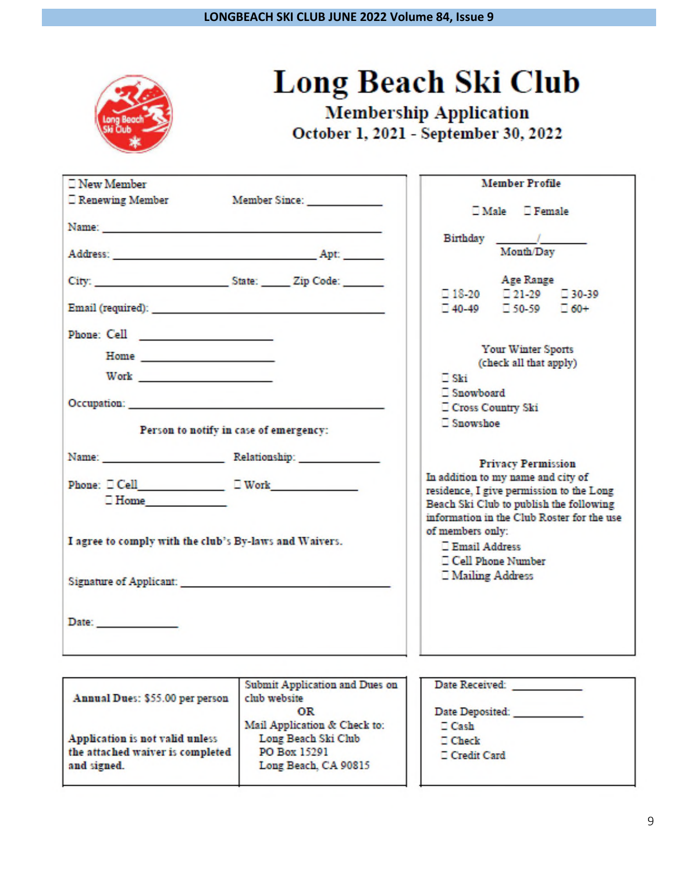

# **Long Beach Ski Club**

**Membership Application** October 1, 2021 - September 30, 2022

| New Member                                                                                                                                                                                                                     |                                                                                                                                                                                                                                |                                    | <b>Member Profile</b>                                                               |
|--------------------------------------------------------------------------------------------------------------------------------------------------------------------------------------------------------------------------------|--------------------------------------------------------------------------------------------------------------------------------------------------------------------------------------------------------------------------------|------------------------------------|-------------------------------------------------------------------------------------|
| $\square$ Renewing Member                                                                                                                                                                                                      | Member Since: The Contract of the Since of the Contract of the Contract of the Contract of the Contract of the Contract of the Contract of the Contract of the Contract of the Contract of the Contract of the Contract of the |                                    | <b>Male</b><br>$\square$ Female                                                     |
| Name: Name: Name: Name: Name: Name: Name: Name: Name: Name: Name: Name: Name: Name: Name: Name: Name: Name: Name: Name: Name: Name: Name: Name: Name: Name: Name: Name: Name: Name: Name: Name: Name: Name: Name: Name: Name:  |                                                                                                                                                                                                                                |                                    |                                                                                     |
|                                                                                                                                                                                                                                |                                                                                                                                                                                                                                |                                    | Birthday /<br>Month/Day                                                             |
|                                                                                                                                                                                                                                |                                                                                                                                                                                                                                |                                    |                                                                                     |
|                                                                                                                                                                                                                                |                                                                                                                                                                                                                                |                                    | Age Range<br>$18-20$ $121-29$ $130-39$                                              |
|                                                                                                                                                                                                                                |                                                                                                                                                                                                                                |                                    | $\Box$ 40-49 $\Box$ 50-59 $\Box$ 60+                                                |
|                                                                                                                                                                                                                                |                                                                                                                                                                                                                                |                                    |                                                                                     |
|                                                                                                                                                                                                                                |                                                                                                                                                                                                                                |                                    | Your Winter Sports<br>(check all that apply)                                        |
|                                                                                                                                                                                                                                |                                                                                                                                                                                                                                | $\Box$ Ski                         |                                                                                     |
|                                                                                                                                                                                                                                |                                                                                                                                                                                                                                | Snowboard                          |                                                                                     |
| Occupation: New York Street, New York Street, New York Street, New York Street, New York Street, New York Street, New York Street, New York Street, New York Street, New York Street, New York Street, New York Street, New Yo |                                                                                                                                                                                                                                | Cross Country Ski                  |                                                                                     |
| Person to notify in case of emergency:                                                                                                                                                                                         |                                                                                                                                                                                                                                | Snowshoe                           |                                                                                     |
| Name: Relationship: Relationship:                                                                                                                                                                                              |                                                                                                                                                                                                                                |                                    | <b>Privacy Permission</b>                                                           |
|                                                                                                                                                                                                                                |                                                                                                                                                                                                                                | In addition to my name and city of |                                                                                     |
| $\begin{tabular}{ c c c c c } \hline \quad \quad & \quad \quad & \quad \quad & \quad \quad \\ \hline \end{tabular} \begin{tabular}{ c c c c c c } \hline \quad \quad & \quad \quad & \quad \quad \\ \hline \end{tabular}$      |                                                                                                                                                                                                                                |                                    | residence, I give permission to the Long<br>Beach Ski Club to publish the following |
|                                                                                                                                                                                                                                |                                                                                                                                                                                                                                |                                    | information in the Club Roster for the use                                          |
|                                                                                                                                                                                                                                |                                                                                                                                                                                                                                | of members only:                   |                                                                                     |
| I agree to comply with the club's By-laws and Waivers.                                                                                                                                                                         |                                                                                                                                                                                                                                | Email Address                      |                                                                                     |
|                                                                                                                                                                                                                                |                                                                                                                                                                                                                                | <b>T</b> Mailing Address           | Cell Phone Number                                                                   |
| Signature of Applicant: The Contract of Applicant Contract of Applicant Contract of Applicant Contract of Applicant Contract of Applicant Contract of Applicant Contract of Applicant Contract of Applicant Contract of Applic |                                                                                                                                                                                                                                |                                    |                                                                                     |
|                                                                                                                                                                                                                                |                                                                                                                                                                                                                                |                                    |                                                                                     |
| Date: _____________                                                                                                                                                                                                            |                                                                                                                                                                                                                                |                                    |                                                                                     |
|                                                                                                                                                                                                                                |                                                                                                                                                                                                                                |                                    |                                                                                     |
|                                                                                                                                                                                                                                |                                                                                                                                                                                                                                |                                    |                                                                                     |
|                                                                                                                                                                                                                                |                                                                                                                                                                                                                                |                                    | Date Received:                                                                      |
| Annual Dues: \$55.00 per person                                                                                                                                                                                                | Submit Application and Dues on<br>club website                                                                                                                                                                                 |                                    |                                                                                     |
|                                                                                                                                                                                                                                | OR                                                                                                                                                                                                                             |                                    | Date Deposited: _____________                                                       |
|                                                                                                                                                                                                                                | Mail Application & Check to:                                                                                                                                                                                                   | $\Box$ Cash                        |                                                                                     |
| Application is not valid unless                                                                                                                                                                                                | Long Beach Ski Club                                                                                                                                                                                                            | $\Box$ Check                       |                                                                                     |
| the attached waiver is completed                                                                                                                                                                                               | PO Box 15291                                                                                                                                                                                                                   | Credit Card                        |                                                                                     |
| and signed.                                                                                                                                                                                                                    | Long Beach, CA 90815                                                                                                                                                                                                           |                                    |                                                                                     |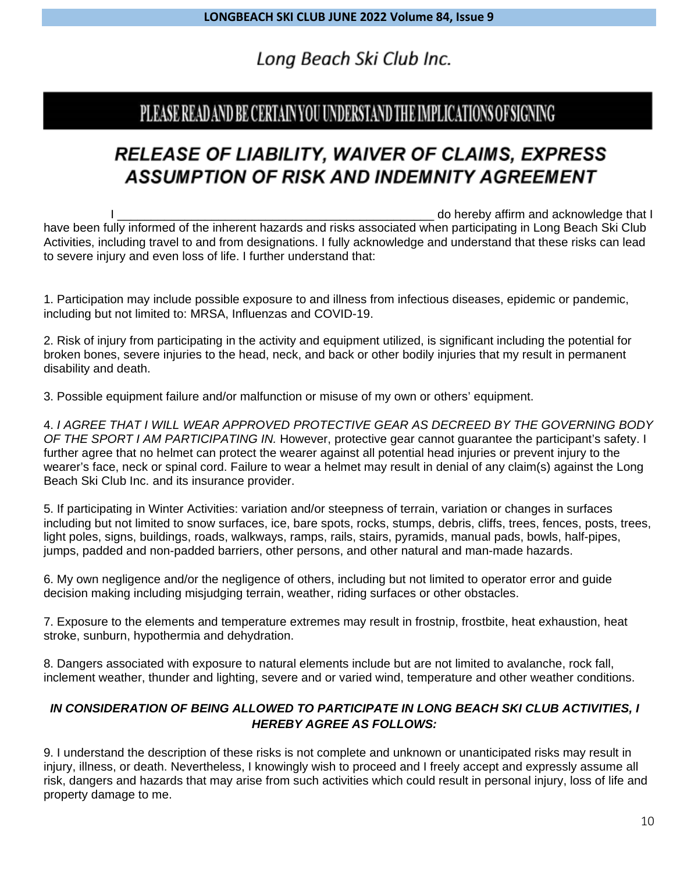### Long Beach Ski Club Inc.

### PLEASE READ AND BE CERTAIN YOU UNDERSTAND THE IMPLICATIONS OF SIGNING

### **RELEASE OF LIABILITY, WAIVER OF CLAIMS, EXPRESS ASSUMPTION OF RISK AND INDEMNITY AGREEMENT**

I Letting the state of the state of the state of the state of the state of the state of the state of the state of the state of the state of the state of the state of the state of the state of the state of the state of the have been fully informed of the inherent hazards and risks associated when participating in Long Beach Ski Club Activities, including travel to and from designations. I fully acknowledge and understand that these risks can lead to severe injury and even loss of life. I further understand that:

1. Participation may include possible exposure to and illness from infectious diseases, epidemic or pandemic, including but not limited to: MRSA, Influenzas and COVID-19.

2. Risk of injury from participating in the activity and equipment utilized, is significant including the potential for broken bones, severe injuries to the head, neck, and back or other bodily injuries that my result in permanent disability and death.

3. Possible equipment failure and/or malfunction or misuse of my own or others' equipment.

4. *I AGREE THAT I WILL WEAR APPROVED PROTECTIVE GEAR AS DECREED BY THE GOVERNING BODY OF THE SPORT I AM PARTICIPATING IN.* However, protective gear cannot guarantee the participant's safety. I further agree that no helmet can protect the wearer against all potential head injuries or prevent injury to the wearer's face, neck or spinal cord. Failure to wear a helmet may result in denial of any claim(s) against the Long Beach Ski Club Inc. and its insurance provider.

5. If participating in Winter Activities: variation and/or steepness of terrain, variation or changes in surfaces including but not limited to snow surfaces, ice, bare spots, rocks, stumps, debris, cliffs, trees, fences, posts, trees, light poles, signs, buildings, roads, walkways, ramps, rails, stairs, pyramids, manual pads, bowls, half-pipes, jumps, padded and non-padded barriers, other persons, and other natural and man-made hazards.

6. My own negligence and/or the negligence of others, including but not limited to operator error and guide decision making including misjudging terrain, weather, riding surfaces or other obstacles.

7. Exposure to the elements and temperature extremes may result in frostnip, frostbite, heat exhaustion, heat stroke, sunburn, hypothermia and dehydration.

8. Dangers associated with exposure to natural elements include but are not limited to avalanche, rock fall, inclement weather, thunder and lighting, severe and or varied wind, temperature and other weather conditions.

#### *IN CONSIDERATION OF BEING ALLOWED TO PARTICIPATE IN LONG BEACH SKI CLUB ACTIVITIES, I HEREBY AGREE AS FOLLOWS:*

9. I understand the description of these risks is not complete and unknown or unanticipated risks may result in injury, illness, or death. Nevertheless, I knowingly wish to proceed and I freely accept and expressly assume all risk, dangers and hazards that may arise from such activities which could result in personal injury, loss of life and property damage to me.